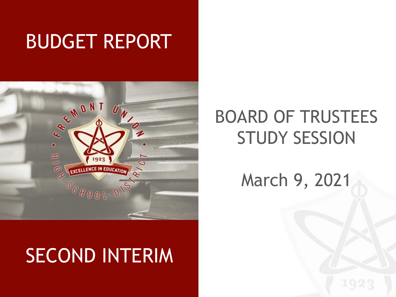## BUDGET REPORT



## SECOND INTERIM

## BOARD OF TRUSTEES STUDY SESSION

March 9, 2021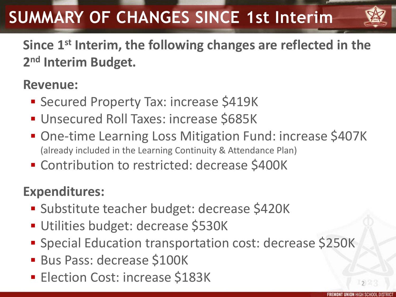## **SUMMARY OF CHANGES SINCE 1st Interim**



**Since 1st Interim, the following changes are reflected in the 2 nd Interim Budget.**

#### **Revenue:**

- **Secured Property Tax: increase \$419K**
- **Unsecured Roll Taxes: increase \$685K**
- One-time Learning Loss Mitigation Fund: increase \$407K (already included in the Learning Continuity & Attendance Plan)
- **Contribution to restricted: decrease \$400K**

#### **Expenditures:**

- Substitute teacher budget: decrease \$420K
- Utilities budget: decrease \$530K
- Special Education transportation cost: decrease \$250K
- Bus Pass: decrease \$100K
- **Election Cost: increase \$183K**

 $2^{\circ}$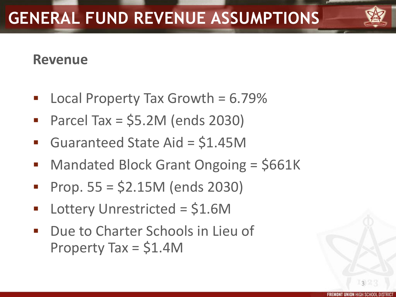## **GENERAL FUND REVENUE ASSUMPTIONS**

#### **Revenue**

- Local Property Tax Growth  $= 6.79\%$
- Parcel Tax =  $$5.2M$  (ends 2030)
- Guaranteed State Aid = \$1.45M
- **Mandated Block Grant Ongoing = \$661K**
- $\blacksquare$  Prop. 55 = \$2.15M (ends 2030)
- Lottery Unrestricted = \$1.6M
- **Due to Charter Schools in Lieu of** Property Tax = \$1.4M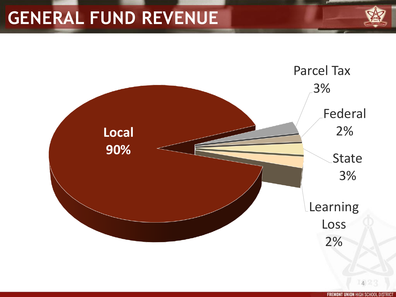## **GENERAL FUND REVENUE**

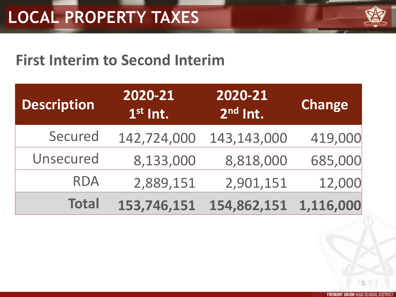

#### **First Interim to Second Interim**

| <b>Description</b> | 2020-21<br>$1st$ Int. | 2020-21<br>$2nd$ Int. | <b>Change</b> |
|--------------------|-----------------------|-----------------------|---------------|
| Secured            | 142,724,000           | 143,143,000           | 419,000       |
| Unsecured          | 8,133,000             | 8,818,000             | 685,000       |
| <b>RDA</b>         | 2,889,151             | 2,901,151             | 12,000        |
| <b>Total</b>       | 153,746,151           | 154,862,151           | 1,116,000     |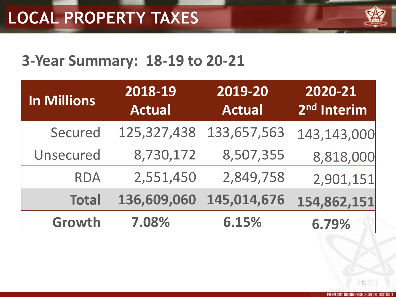

#### **3-Year Summary: 18-19 to 20-21**

| In Millions      | 2018-19<br><b>Actual</b> | 2019-20<br><b>Actual</b> | 2020-21<br>2 <sup>nd</sup> Interim |
|------------------|--------------------------|--------------------------|------------------------------------|
| Secured          | 125,327,438              | 133,657,563              | 143,143,000                        |
| <b>Unsecured</b> | 8,730,172                | 8,507,355                | 8,818,000                          |
| <b>RDA</b>       | 2,551,450                | 2,849,758                | 2,901,151                          |
| <b>Total</b>     | 136,609,060              | 145,014,676              | 154,862,151                        |
| Growth           | 7.08%                    | 6.15%                    | 6.79%                              |

**FREMONT UNION HIGH SCHOOL DISTRIC**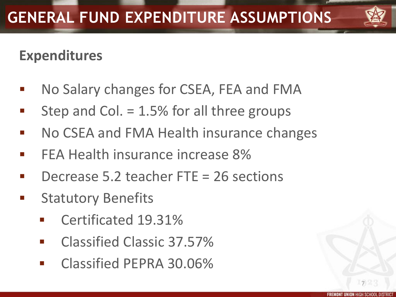

#### **Expenditures**

- No Salary changes for CSEA, FEA and FMA
- Step and Col. = 1.5% for all three groups
- No CSEA and FMA Health insurance changes
- FEA Health insurance increase 8%
- Decrease 5.2 teacher FTE = 26 sections
- Statutory Benefits
	- Certificated 19.31%
	- Classified Classic 37.57%
	- Classified PEPRA 30.06%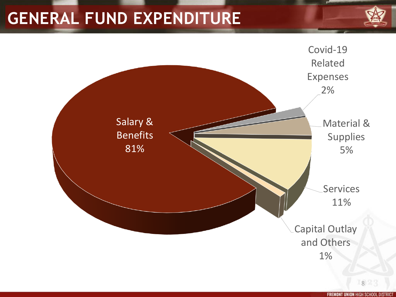#### **GENERAL FUND EXPENDITURE**



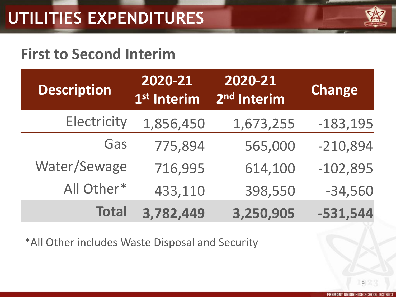

#### **First to Second Interim**

| <b>Description</b> | 2020-21<br>1 <sup>st</sup> Interim | 2020-21<br>2 <sup>nd</sup> Interim | <b>Change</b> |
|--------------------|------------------------------------|------------------------------------|---------------|
| Electricity        | 1,856,450                          | 1,673,255                          | $-183,195$    |
| Gas                | 775,894                            | 565,000                            | $-210,894$    |
| Water/Sewage       | 716,995                            | 614,100                            | $-102,895$    |
| All Other*         | 433,110                            | 398,550                            | $-34,560$     |
| <b>Total</b>       | 3,782,449                          | 3,250,905                          | $-531,544$    |

\*All Other includes Waste Disposal and Security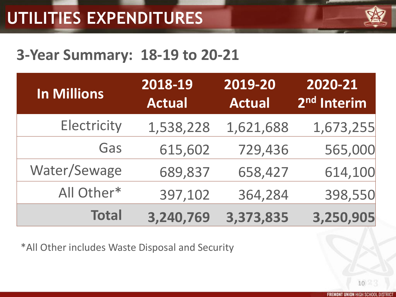

#### **3-Year Summary: 18-19 to 20-21**

| <b>In Millions</b> | 2018-19<br><b>Actual</b> | 2019-20<br><b>Actual</b> | 2020-21<br>2 <sup>nd</sup> Interim |
|--------------------|--------------------------|--------------------------|------------------------------------|
| Electricity        | 1,538,228                | 1,621,688                | 1,673,255                          |
| Gas                | 615,602                  | 729,436                  | 565,000                            |
| Water/Sewage       | 689,837                  | 658,427                  | 614,100                            |
| All Other*         | 397,102                  | 364,284                  | 398,550                            |
| <b>Total</b>       | 3,240,769                | 3,373,835                | 3,250,905                          |

\*All Other includes Waste Disposal and Security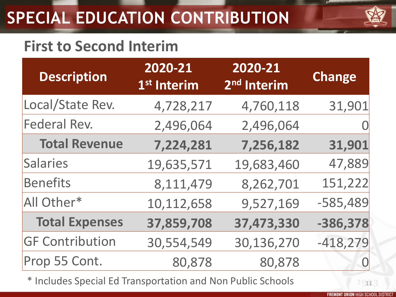## **SPECIAL EDUCATION CONTRIBUTION**



#### **First to Second Interim**

| <b>Description</b>     | 2020-21<br>1 <sup>st</sup> Interim | 2020-21<br>2 <sup>nd</sup> Interim | Change         |
|------------------------|------------------------------------|------------------------------------|----------------|
| Local/State Rev.       | 4,728,217                          | 4,760,118                          | 31,901         |
| Federal Rev.           | 2,496,064                          | 2,496,064                          | $\overline{0}$ |
| <b>Total Revenue</b>   | 7,224,281                          | 7,256,182                          | 31,901         |
| <b>Salaries</b>        | 19,635,571                         | 19,683,460                         | 47,889         |
| <b>Benefits</b>        | 8,111,479                          | 8,262,701                          | 151,222        |
| All Other*             | 10,112,658                         | 9,527,169                          | $-585,489$     |
| <b>Total Expenses</b>  | 37,859,708                         | 37,473,330                         | $-386,378$     |
| <b>GF Contribution</b> | 30,554,549                         | 30,136,270                         | $-418,279$     |
| Prop 55 Cont.          | 80,878                             | 80,878                             |                |

\* Includes Special Ed Transportation and Non Public Schools 11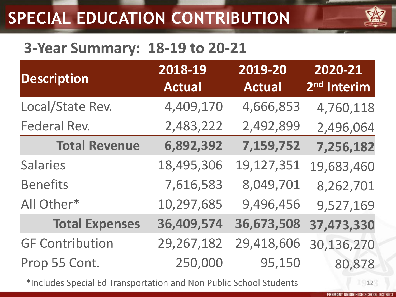## **SPECIAL EDUCATION CONTRIBUTION**

#### **3-Year Summary: 18-19 to 20-21**

| <b>Description</b>     | 2018-19<br><b>Actual</b> | 2019-20<br><b>Actual</b> | 2020-21<br>2 <sup>nd</sup> Interim |
|------------------------|--------------------------|--------------------------|------------------------------------|
| Local/State Rev.       | 4,409,170                | 4,666,853                | 4,760,118                          |
| Federal Rev.           | 2,483,222                | 2,492,899                | 2,496,064                          |
| <b>Total Revenue</b>   | 6,892,392                | 7,159,752                | 7,256,182                          |
| <b>Salaries</b>        | 18,495,306               | 19,127,351               | 19,683,460                         |
| <b>Benefits</b>        | 7,616,583                | 8,049,701                | 8,262,701                          |
| All Other*             | 10,297,685               | 9,496,456                | 9,527,169                          |
| <b>Total Expenses</b>  | 36,409,574               | 36,673,508               | 37,473,330                         |
| <b>GF Contribution</b> | 29,267,182               | 29,418,606               | 30,136,270                         |
| Prop 55 Cont.          | 250,000                  | 95,150                   | 80,878                             |

\*Includes Special Ed Transportation and Non Public School Students 12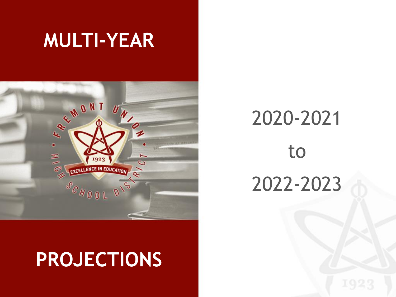## **MULTI-YEAR**



## **PROJECTIONS**

# 2020-2021 to 2022-2023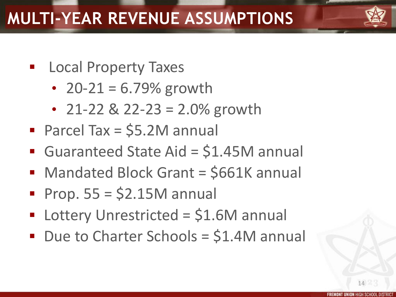- **Ending Local Property Taxes** 
	- $20 21 = 6.79\%$  growth
	- 21-22 & 22-23 = 2.0% growth
- Parcel Tax = \$5.2M annual
- Guaranteed State Aid = \$1.45M annual
- Mandated Block Grant = \$661K annual
- Prop.  $55 = $2.15M$  annual
- Lottery Unrestricted = \$1.6M annual
- Due to Charter Schools = \$1.4M annual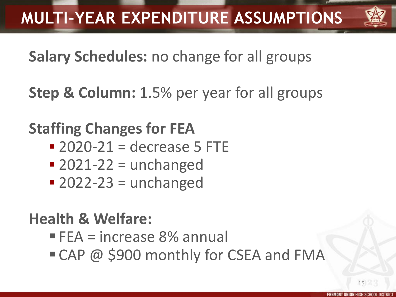

**Salary Schedules:** no change for all groups

**Step & Column:** 1.5% per year for all groups

**Staffing Changes for FEA**

- $2020-21$  = decrease 5 FTE
- $\blacksquare$  2021-22 = unchanged
- $\blacksquare$  2022-23 = unchanged

#### **Health & Welfare:**

- FEA = increase 8% annual
- CAP @ \$900 monthly for CSEA and FMA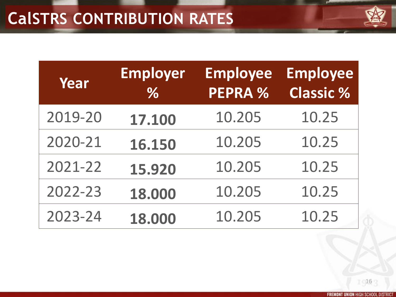| <b>LENCE IN FINITA</b> |
|------------------------|
|                        |

| Year    | <b>Employer</b><br>$\%$ | <b>Employee</b><br><b>PEPRA %</b> | <b>Employee</b><br><b>Classic %</b> |
|---------|-------------------------|-----------------------------------|-------------------------------------|
| 2019-20 | 17.100                  | 10.205                            | 10.25                               |
| 2020-21 | 16.150                  | 10.205                            | 10.25                               |
| 2021-22 | 15.920                  | 10.205                            | 10.25                               |
| 2022-23 | 18.000                  | 10.205                            | 10.25                               |
| 2023-24 | 18.000                  | 10.205                            | 10.25                               |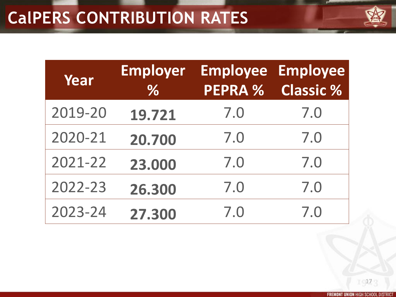| <b>ALCOHOL: NATIONAL</b> |  |
|--------------------------|--|

| Year    | <b>Employer</b><br>$\%$ | <b>PEPRA %</b> | <b>Employee Employee</b><br><b>Classic %</b> |
|---------|-------------------------|----------------|----------------------------------------------|
| 2019-20 | 19.721                  | 7.0            | 7.0                                          |
| 2020-21 | 20.700                  | 7.0            | 7.0                                          |
| 2021-22 | 23.000                  | 7.0            | 7.0                                          |
| 2022-23 | 26.300                  | 7.0            | 7.0                                          |
| 2023-24 | 27.300                  | 7.0            | 7.0                                          |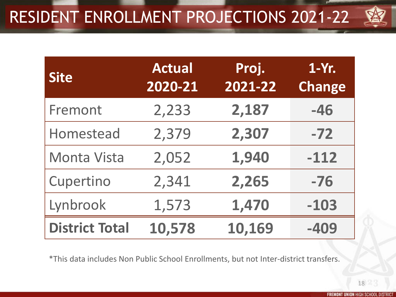## RESIDENT ENROLLMENT PROJECTIONS 2021-22



| <b>Site</b>           | <b>Actual</b><br>2020-21 | Proj.<br>2021-22 | $1-Yr.$<br><b>Change</b> |
|-----------------------|--------------------------|------------------|--------------------------|
| Fremont               | 2,233                    | 2,187            | $-46$                    |
| Homestead             | 2,379                    | 2,307            | $-72$                    |
| <b>Monta Vista</b>    | 2,052                    | 1,940            | $-112$                   |
| Cupertino             | 2,341                    | 2,265            | $-76$                    |
| Lynbrook              | 1,573                    | 1,470            | $-103$                   |
| <b>District Total</b> | 10,578                   | 10,169           | $-409$                   |

\*This data includes Non Public School Enrollments, but not Inter-district transfers.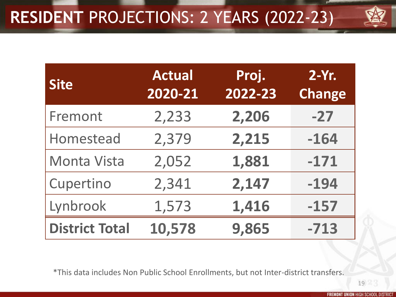

| <b>Site</b>           | <b>Actual</b><br>2020-21 | Proj.<br>2022-23 | $2-Yr.$<br><b>Change</b> |
|-----------------------|--------------------------|------------------|--------------------------|
| Fremont               | 2,233                    | 2,206            | $-27$                    |
| Homestead             | 2,379                    | 2,215            | $-164$                   |
| Monta Vista           | 2,052                    | 1,881            | $-171$                   |
| Cupertino             | 2,341                    | 2,147            | $-194$                   |
| Lynbrook              | 1,573                    | 1,416            | $-157$                   |
| <b>District Total</b> | 10,578                   | 9,865            | $-713$                   |

\*This data includes Non Public School Enrollments, but not Inter-district transfers.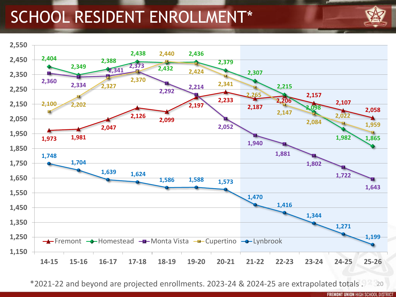#### SCHOOL RESIDENT ENROLLMENT\*





\*2021-22 and beyond are projected enrollments. 2023-24 & 2024-25 are extrapolated totals . 20

**FREMONT UNION HIGH SCHOOL DISTRICT**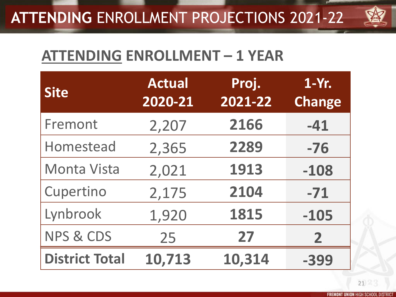#### **ATTENDING** ENROLLMENT PROJECTIONS 2021-22



#### **ATTENDING ENROLLMENT – 1 YEAR**

| <b>Site</b>           | <b>Actual</b><br>2020-21 | Proj.<br>2021-22 | 1-Yr.<br><b>Change</b> |
|-----------------------|--------------------------|------------------|------------------------|
| Fremont               | 2,207                    | 2166             | $-41$                  |
| Homestead             | 2,365                    | 2289             | $-76$                  |
| <b>Monta Vista</b>    | 2,021                    | 1913             | $-108$                 |
| Cupertino             | 2,175                    | 2104             | $-71$                  |
| Lynbrook              | 1,920                    | 1815             | $-105$                 |
| <b>NPS &amp; CDS</b>  | 25                       | 27               | $\mathbf{2}$           |
| <b>District Total</b> | 10,713                   | 10,314           | -399                   |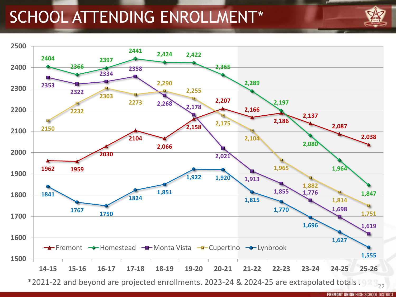### SCHOOL ATTENDING ENROLLMENT\*



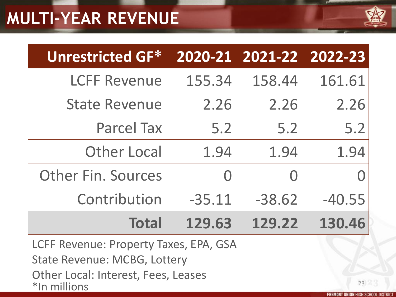### **MULTI-YEAR REVENUE**



| <b>Unrestricted GF*</b>   |          | 2020-21 2021-22 2022-23 |          |
|---------------------------|----------|-------------------------|----------|
| <b>LCFF Revenue</b>       | 155.34   | 158.44                  | 161.61   |
| <b>State Revenue</b>      | 2.26     | 2.26                    | 2.26     |
| <b>Parcel Tax</b>         | 5.2      | 5.2                     | 5.2      |
| <b>Other Local</b>        | 1.94     | 1.94                    | 1.94     |
| <b>Other Fin. Sources</b> |          | $\bigcap$               |          |
| Contribution              | $-35.11$ | $-38.62$                | $-40.55$ |
| <b>Total</b>              | 129.63   | 129.22                  | 130.46   |

LCFF Revenue: Property Taxes, EPA, GSA

State Revenue: MCBG, Lottery

Other Local: Interest, Fees, Leases

\*In millions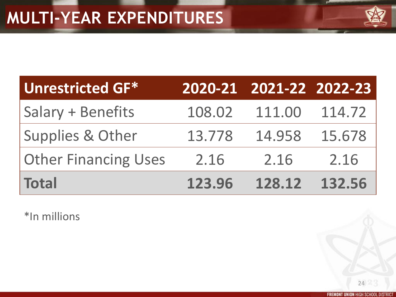| <b>CAROLIN FRANCIS</b> |  |
|------------------------|--|

| <b>Unrestricted GF*</b>     |        | 2020-21 2021-22 2022-23 |        |
|-----------------------------|--------|-------------------------|--------|
| Salary + Benefits           | 108.02 | 111.00                  | 114.72 |
| <b>Supplies &amp; Other</b> | 13.778 | 14.958                  | 15.678 |
| <b>Other Financing Uses</b> | 2.16   | 2.16                    | 2.16   |
| <b>Total</b>                | 123.96 | 128.12                  | 132.56 |

\*In millions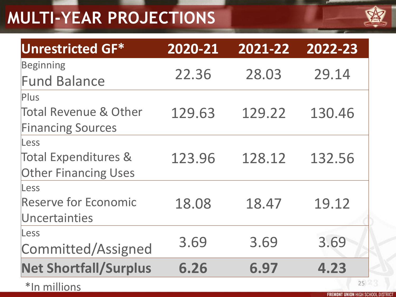## **MULTI-YEAR PROJECTIONS**



| Unrestricted GF*                                                                                                                                                                                                                                                                                                                                    | 2020-21 | 2021-22 | 2022-23    |
|-----------------------------------------------------------------------------------------------------------------------------------------------------------------------------------------------------------------------------------------------------------------------------------------------------------------------------------------------------|---------|---------|------------|
| Beginning<br><b>Fund Balance</b>                                                                                                                                                                                                                                                                                                                    | 22.36   | 28.03   | 29.14      |
| <b>Plus</b><br><b>Total Revenue &amp; Other</b><br><b>Financing Sources</b>                                                                                                                                                                                                                                                                         | 129.63  | 129.22  | 130.46     |
| Less<br><b>Total Expenditures &amp;</b><br><b>Other Financing Uses</b>                                                                                                                                                                                                                                                                              | 123.96  | 128.12  | 132.56     |
| Less<br><b>Reserve for Economic</b><br>Uncertainties                                                                                                                                                                                                                                                                                                | 18.08   | 18.47   | 19.12      |
| Less<br>Committed/Assigned                                                                                                                                                                                                                                                                                                                          | 3.69    | 3.69    | 3.69       |
| <b>Net Shortfall/Surplus</b><br>$\frac{1}{2}$ $\frac{1}{2}$ $\frac{1}{2}$ $\frac{1}{2}$ $\frac{1}{2}$ $\frac{1}{2}$ $\frac{1}{2}$ $\frac{1}{2}$ $\frac{1}{2}$ $\frac{1}{2}$ $\frac{1}{2}$ $\frac{1}{2}$ $\frac{1}{2}$ $\frac{1}{2}$ $\frac{1}{2}$ $\frac{1}{2}$ $\frac{1}{2}$ $\frac{1}{2}$ $\frac{1}{2}$ $\frac{1}{2}$ $\frac{1}{2}$ $\frac{1}{2}$ | 6.26    | 6.97    | 4.23<br>25 |

\*In millions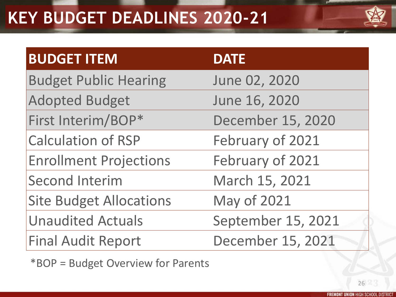### **KEY BUDGET DEADLINES 2020-21**



| <b>BUDGET ITEM</b>             | <b>DATE</b>        |
|--------------------------------|--------------------|
| <b>Budget Public Hearing</b>   | June 02, 2020      |
| <b>Adopted Budget</b>          | June 16, 2020      |
| First Interim/BOP*             | December 15, 2020  |
| <b>Calculation of RSP</b>      | February of 2021   |
| <b>Enrollment Projections</b>  | February of 2021   |
| <b>Second Interim</b>          | March 15, 2021     |
| <b>Site Budget Allocations</b> | <b>May of 2021</b> |
| <b>Unaudited Actuals</b>       | September 15, 2021 |
| <b>Final Audit Report</b>      | December 15, 2021  |

\*BOP = Budget Overview for Parents